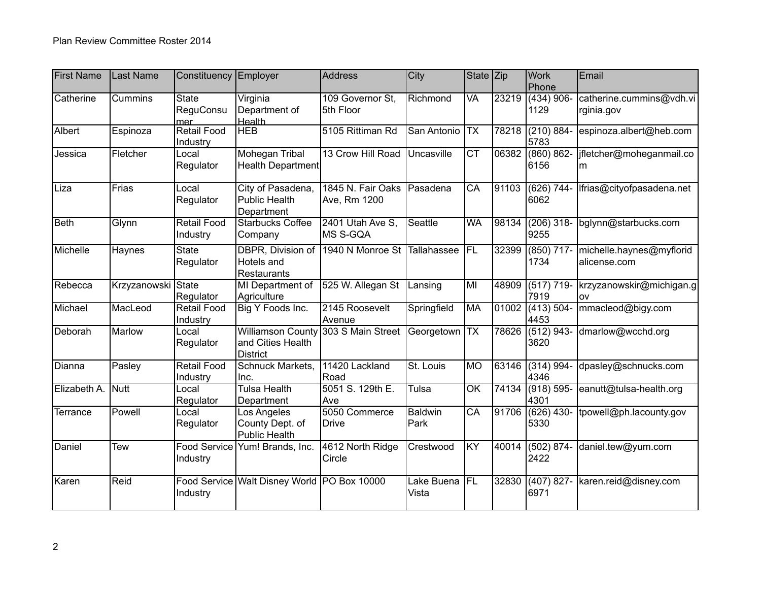| <b>First Name</b> | Last Name          | Constituency                          | Employer                                                  | <b>Address</b>                    | City                | State $ Zip $            |       | <b>Work</b><br>Phone     | Email                                    |
|-------------------|--------------------|---------------------------------------|-----------------------------------------------------------|-----------------------------------|---------------------|--------------------------|-------|--------------------------|------------------------------------------|
| Catherine         | Cummins            | <b>State</b><br>ReguConsu<br>mer      | Virginia<br>Department of<br>Health                       | 109 Governor St.<br>5th Floor     | Richmond            | $\overline{\mathsf{VA}}$ | 23219 | $(434)$ 906-<br>1129     | catherine.cummins@vdh.vi<br>rginia.gov   |
| Albert            | Espinoza           | <b>Retail Food</b><br>Industry        | <b>HEB</b>                                                | 5105 Rittiman Rd                  | San Antonio         | <b>TX</b>                | 78218 | (210) 884<br>5783        | espinoza.albert@heb.com                  |
| Jessica           | Fletcher           | Local<br>Regulator                    | <b>Mohegan Tribal</b><br>Health Department                | 13 Crow Hill Road                 | Uncasville          | $\overline{\text{CT}}$   | 06382 | $(860) 862 -$<br>6156    | jfletcher@moheganmail.co<br>m            |
| Liza              | Frias              | Local<br>Regulator                    | City of Pasadena,<br><b>Public Health</b><br>Department   | 1845 N. Fair Oaks<br>Ave, Rm 1200 | Pasadena            | $\overline{CA}$          | 91103 | $(626)$ 744<br>6062      | Ifrias@cityofpasadena.net                |
| Beth              | Glynn              | <b>Retail Food</b><br>Industry        | <b>Starbucks Coffee</b><br>Company                        | 2401 Utah Ave S,<br>MS S-GQA      | Seattle             | <b>WA</b>                | 98134 | $(206)$ 318-<br>9255     | bglynn@starbucks.com                     |
| Michelle          | Haynes             | <b>State</b><br>Regulator             | DBPR, Division of<br>Hotels and<br>Restaurants            | 1940 N Monroe St                  | Tallahassee         | FL                       | 32399 | $(850)$ 717-<br>1734     | michelle.haynes@myflorid<br>alicense.com |
| Rebecca           | Krzyzanowski State | Regulator                             | MI Department of<br>Agriculture                           | 525 W. Allegan St                 | Lansing             | MI                       | 48909 | $(517) 719-$<br>7919     | krzyzanowskir@michigan.g<br>lov          |
| Michael           | MacLeod            | <b>Retail Food</b><br><b>Industry</b> | Big Y Foods Inc.                                          | 2145 Roosevelt<br>Avenue          | Springfield         | MA                       | 01002 | $(413)$ 504-<br>4453     | mmacleod@bigy.com                        |
| Deborah           | Marlow             | Local<br>Regulator                    | Williamson County<br>and Cities Health<br><b>District</b> | 303 S Main Street                 | Georgetown          | <b>TX</b>                | 78626 | $(512) 943 -$<br>3620    | dmarlow@wcchd.org                        |
| Dianna            | Pasley             | <b>Retail Food</b><br>Industry        | <b>Schnuck Markets,</b><br>Inc.                           | 11420 Lackland<br>Road            | St. Louis           | MO                       |       | 63146 (314) 994-<br>4346 | dpasley@schnucks.com                     |
| Elizabeth A.      | <b>Nutt</b>        | Local<br>Regulator                    | Tulsa Health<br>Department                                | 5051 S. 129th E.<br>Ave           | Tulsa               | $\overline{OK}$          | 74134 | $(918) 595 -$<br>4301    | eanutt@tulsa-health.org                  |
| Terrance          | Powell             | Local<br>Regulator                    | Los Angeles<br>County Dept. of<br><b>Public Health</b>    | 5050 Commerce<br><b>Drive</b>     | Baldwin<br>Park     | $\overline{CA}$          | 91706 | $(626)$ 430-<br>5330     | tpowell@ph.lacounty.gov                  |
| Daniel            | <b>Tew</b>         | <b>Food Service</b><br>Industry       | Yum! Brands, Inc.                                         | 4612 North Ridge<br>Circle        | Crestwood           | KY                       | 40014 | (502) 874<br>2422        | daniel.tew@yum.com                       |
| Karen             | Reid               | Food Service<br>Industry              | Walt Disney World PO Box 10000                            |                                   | Lake Buena<br>Vista | FL                       | 32830 | $(407) 827 -$<br>6971    | karen.reid@disney.com                    |